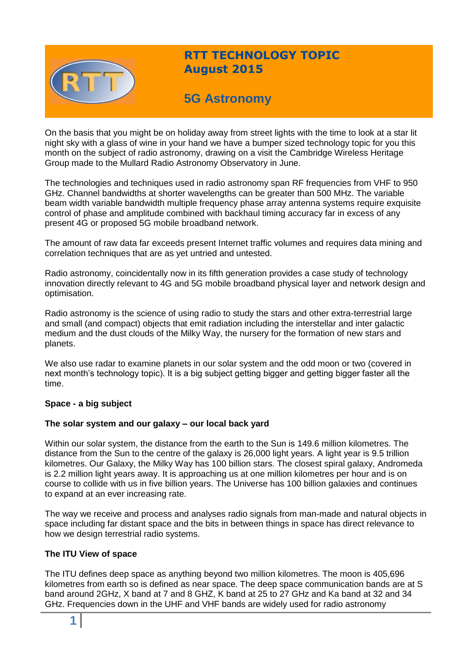

# **RTT TECHNOLOGY TOPIC August 2015**

# **5G Astronomy**

On the basis that you might be on holiday away from street lights with the time to look at a star lit night sky with a glass of wine in your hand we have a bumper sized technology topic for you this month on the subject of radio astronomy, drawing on a visit the Cambridge Wireless Heritage Group made to the Mullard Radio Astronomy Observatory in June.

The technologies and techniques used in radio astronomy span RF frequencies from VHF to 950 GHz. Channel bandwidths at shorter wavelengths can be greater than 500 MHz. The variable beam width variable bandwidth multiple frequency phase array antenna systems require exquisite control of phase and amplitude combined with backhaul timing accuracy far in excess of any present 4G or proposed 5G mobile broadband network.

The amount of raw data far exceeds present Internet traffic volumes and requires data mining and correlation techniques that are as yet untried and untested.

Radio astronomy, coincidentally now in its fifth generation provides a case study of technology innovation directly relevant to 4G and 5G mobile broadband physical layer and network design and optimisation.

Radio astronomy is the science of using radio to study the stars and other extra-terrestrial large and small (and compact) objects that emit radiation including the interstellar and inter galactic medium and the dust clouds of the Milky Way, the nursery for the formation of new stars and planets.

We also use radar to examine planets in our solar system and the odd moon or two (covered in next month's technology topic). It is a big subject getting bigger and getting bigger faster all the time.

# **Space - a big subject**

# **The solar system and our galaxy – our local back yard**

Within our solar system, the distance from the earth to the Sun is 149.6 million kilometres. The distance from the Sun to the centre of the galaxy is 26,000 light years. A light year is 9.5 trillion kilometres. Our Galaxy, the Milky Way has 100 billion stars. The closest spiral galaxy, Andromeda is 2.2 million light years away. It is approaching us at one million kilometres per hour and is on course to collide with us in five billion years. The Universe has 100 billion galaxies and continues to expand at an ever increasing rate.

The way we receive and process and analyses radio signals from man-made and natural objects in space including far distant space and the bits in between things in space has direct relevance to how we design terrestrial radio systems.

# **The ITU View of space**

The ITU defines deep space as anything beyond two million kilometres. The moon is 405,696 kilometres from earth so is defined as near space. The deep space communication bands are at S band around 2GHz, X band at 7 and 8 GHZ, K band at 25 to 27 GHz and Ka band at 32 and 34 GHz. Frequencies down in the UHF and VHF bands are widely used for radio astronomy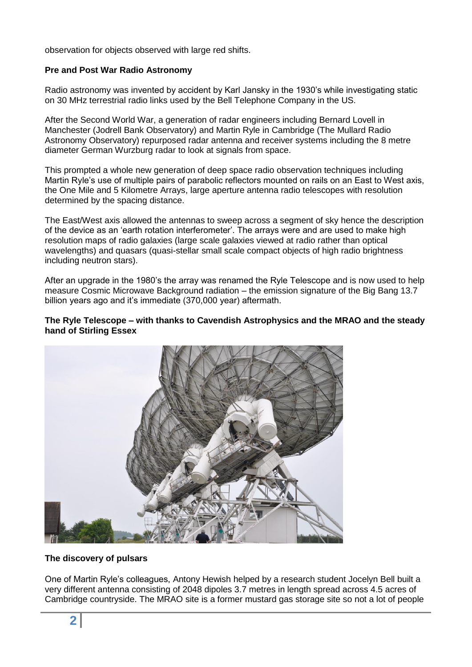observation for objects observed with large red shifts.

### **Pre and Post War Radio Astronomy**

Radio astronomy was invented by accident by Karl Jansky in the 1930's while investigating static on 30 MHz terrestrial radio links used by the Bell Telephone Company in the US.

After the Second World War, a generation of radar engineers including Bernard Lovell in Manchester (Jodrell Bank Observatory) and Martin Ryle in Cambridge (The Mullard Radio Astronomy Observatory) repurposed radar antenna and receiver systems including the 8 metre diameter German Wurzburg radar to look at signals from space.

This prompted a whole new generation of deep space radio observation techniques including Martin Ryle's use of multiple pairs of parabolic reflectors mounted on rails on an East to West axis, the One Mile and 5 Kilometre Arrays, large aperture antenna radio telescopes with resolution determined by the spacing distance.

The East/West axis allowed the antennas to sweep across a segment of sky hence the description of the device as an 'earth rotation interferometer'. The arrays were and are used to make high resolution maps of radio galaxies (large scale galaxies viewed at radio rather than optical wavelengths) and quasars (quasi-stellar small scale compact objects of high radio brightness including neutron stars).

After an upgrade in the 1980's the array was renamed the Ryle Telescope and is now used to help measure Cosmic Microwave Background radiation – the emission signature of the Big Bang 13.7 billion years ago and it's immediate (370,000 year) aftermath.

# **The Ryle Telescope – with thanks to Cavendish Astrophysics and the MRAO and the steady hand of Stirling Essex**



# **The discovery of pulsars**

One of Martin Ryle's colleagues, Antony Hewish helped by a research student Jocelyn Bell built a very different antenna consisting of 2048 dipoles 3.7 metres in length spread across 4.5 acres of Cambridge countryside. The MRAO site is a former mustard gas storage site so not a lot of people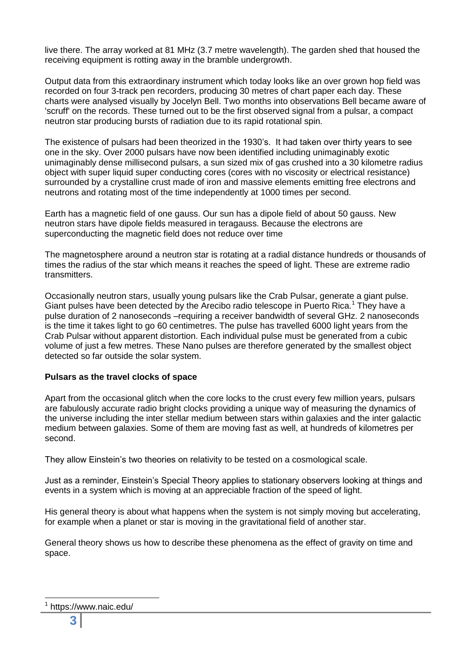live there. The array worked at 81 MHz (3.7 metre wavelength). The garden shed that housed the receiving equipment is rotting away in the bramble undergrowth.

Output data from this extraordinary instrument which today looks like an over grown hop field was recorded on four 3-track pen recorders, producing 30 metres of chart paper each day. These charts were analysed visually by Jocelyn Bell. Two months into observations Bell became aware of 'scruff' on the records. These turned out to be the first observed signal from a pulsar, a compact neutron star producing bursts of radiation due to its rapid rotational spin.

The existence of pulsars had been theorized in the 1930's. It had taken over thirty years to see one in the sky. Over 2000 pulsars have now been identified including unimaginably exotic unimaginably dense millisecond pulsars, a sun sized mix of gas crushed into a 30 kilometre radius object with super liquid super conducting cores (cores with no viscosity or electrical resistance) surrounded by a crystalline crust made of iron and massive elements emitting free electrons and neutrons and rotating most of the time independently at 1000 times per second.

Earth has a magnetic field of one gauss. Our sun has a dipole field of about 50 gauss. New neutron stars have dipole fields measured in teragauss. Because the electrons are superconducting the magnetic field does not reduce over time

The magnetosphere around a neutron star is rotating at a radial distance hundreds or thousands of times the radius of the star which means it reaches the speed of light. These are extreme radio transmitters.

Occasionally neutron stars, usually young pulsars like the Crab Pulsar, generate a giant pulse. Giant pulses have been detected by the Arecibo radio telescope in Puerto Rica.<sup>1</sup> They have a pulse duration of 2 nanoseconds –requiring a receiver bandwidth of several GHz. 2 nanoseconds is the time it takes light to go 60 centimetres. The pulse has travelled 6000 light years from the Crab Pulsar without apparent distortion. Each individual pulse must be generated from a cubic volume of just a few metres. These Nano pulses are therefore generated by the smallest object detected so far outside the solar system.

# **Pulsars as the travel clocks of space**

Apart from the occasional glitch when the core locks to the crust every few million years, pulsars are fabulously accurate radio bright clocks providing a unique way of measuring the dynamics of the universe including the inter stellar medium between stars within galaxies and the inter galactic medium between galaxies. Some of them are moving fast as well, at hundreds of kilometres per second.

They allow Einstein's two theories on relativity to be tested on a cosmological scale.

Just as a reminder, Einstein's Special Theory applies to stationary observers looking at things and events in a system which is moving at an appreciable fraction of the speed of light.

His general theory is about what happens when the system is not simply moving but accelerating, for example when a planet or star is moving in the gravitational field of another star.

General theory shows us how to describe these phenomena as the effect of gravity on time and space.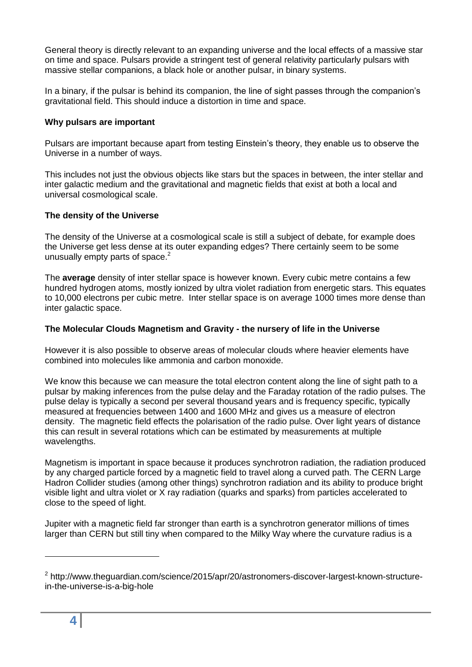General theory is directly relevant to an expanding universe and the local effects of a massive star on time and space. Pulsars provide a stringent test of general relativity particularly pulsars with massive stellar companions, a black hole or another pulsar, in binary systems.

In a binary, if the pulsar is behind its companion, the line of sight passes through the companion's gravitational field. This should induce a distortion in time and space.

# **Why pulsars are important**

Pulsars are important because apart from testing Einstein's theory, they enable us to observe the Universe in a number of ways.

This includes not just the obvious objects like stars but the spaces in between, the inter stellar and inter galactic medium and the gravitational and magnetic fields that exist at both a local and universal cosmological scale.

# **The density of the Universe**

The density of the Universe at a cosmological scale is still a subject of debate, for example does the Universe get less dense at its outer expanding edges? There certainly seem to be some unusually empty parts of space. $2$ 

The **average** density of inter stellar space is however known. Every cubic metre contains a few hundred hydrogen atoms, mostly ionized by ultra violet radiation from energetic stars. This equates to 10,000 electrons per cubic metre. Inter stellar space is on average 1000 times more dense than inter galactic space.

# **The Molecular Clouds Magnetism and Gravity - the nursery of life in the Universe**

However it is also possible to observe areas of molecular clouds where heavier elements have combined into molecules like ammonia and carbon monoxide.

We know this because we can measure the total electron content along the line of sight path to a pulsar by making inferences from the pulse delay and the Faraday rotation of the radio pulses. The pulse delay is typically a second per several thousand years and is frequency specific, typically measured at frequencies between 1400 and 1600 MHz and gives us a measure of electron density. The magnetic field effects the polarisation of the radio pulse. Over light years of distance this can result in several rotations which can be estimated by measurements at multiple wavelengths.

Magnetism is important in space because it produces synchrotron radiation, the radiation produced by any charged particle forced by a magnetic field to travel along a curved path. The CERN Large Hadron Collider studies (among other things) synchrotron radiation and its ability to produce bright visible light and ultra violet or X ray radiation (quarks and sparks) from particles accelerated to close to the speed of light.

Jupiter with a magnetic field far stronger than earth is a synchrotron generator millions of times larger than CERN but still tiny when compared to the Milky Way where the curvature radius is a

<sup>&</sup>lt;sup>2</sup> http://www.theguardian.com/science/2015/apr/20/astronomers-discover-largest-known-structurein-the-universe-is-a-big-hole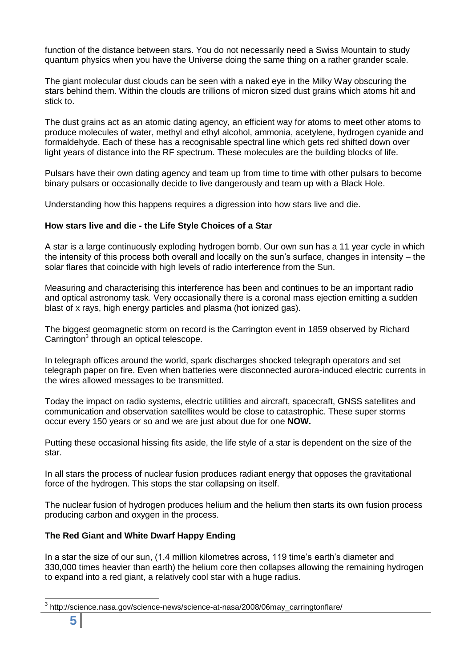function of the distance between stars. You do not necessarily need a Swiss Mountain to study quantum physics when you have the Universe doing the same thing on a rather grander scale.

The giant molecular dust clouds can be seen with a naked eye in the Milky Way obscuring the stars behind them. Within the clouds are trillions of micron sized dust grains which atoms hit and stick to.

The dust grains act as an atomic dating agency, an efficient way for atoms to meet other atoms to produce molecules of water, methyl and ethyl alcohol, ammonia, acetylene, hydrogen cyanide and formaldehyde. Each of these has a recognisable spectral line which gets red shifted down over light years of distance into the RF spectrum. These molecules are the building blocks of life.

Pulsars have their own dating agency and team up from time to time with other pulsars to become binary pulsars or occasionally decide to live dangerously and team up with a Black Hole.

Understanding how this happens requires a digression into how stars live and die.

# **How stars live and die - the Life Style Choices of a Star**

A star is a large continuously exploding hydrogen bomb. Our own sun has a 11 year cycle in which the intensity of this process both overall and locally on the sun's surface, changes in intensity – the solar flares that coincide with high levels of radio interference from the Sun.

Measuring and characterising this interference has been and continues to be an important radio and optical astronomy task. Very occasionally there is a coronal mass ejection emitting a sudden blast of x rays, high energy particles and plasma (hot ionized gas).

The biggest geomagnetic storm on record is the Carrington event in 1859 observed by Richard Carrington<sup>3</sup> through an optical telescope.

In telegraph offices around the world, spark discharges shocked telegraph operators and set telegraph paper on fire. Even when batteries were disconnected aurora-induced electric currents in the wires allowed messages to be transmitted.

Today the impact on radio systems, electric utilities and aircraft, spacecraft, GNSS satellites and communication and observation satellites would be close to catastrophic. These super storms occur every 150 years or so and we are just about due for one **NOW.**

Putting these occasional hissing fits aside, the life style of a star is dependent on the size of the star.

In all stars the process of nuclear fusion produces radiant energy that opposes the gravitational force of the hydrogen. This stops the star collapsing on itself.

The nuclear fusion of hydrogen produces helium and the helium then starts its own fusion process producing carbon and oxygen in the process.

# **The Red Giant and White Dwarf Happy Ending**

In a star the size of our sun, (1.4 million kilometres across, 119 time's earth's diameter and 330,000 times heavier than earth) the helium core then collapses allowing the remaining hydrogen to expand into a red giant, a relatively cool star with a huge radius.

 $\overline{\phantom{a}}$ 3 http://science.nasa.gov/science-news/science-at-nasa/2008/06may\_carringtonflare/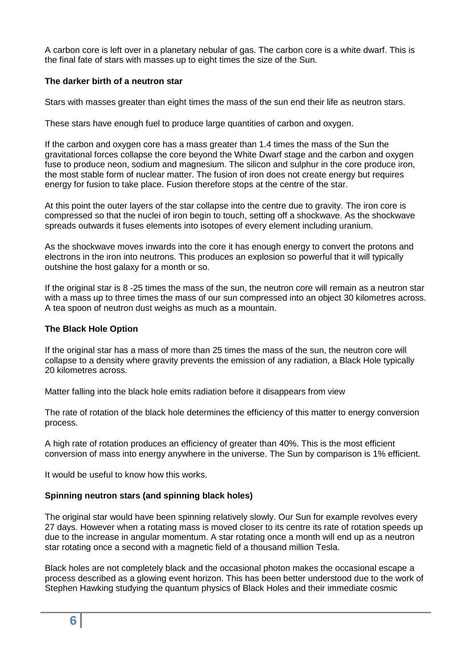A carbon core is left over in a planetary nebular of gas. The carbon core is a white dwarf. This is the final fate of stars with masses up to eight times the size of the Sun.

# **The darker birth of a neutron star**

Stars with masses greater than eight times the mass of the sun end their life as neutron stars.

These stars have enough fuel to produce large quantities of carbon and oxygen.

If the carbon and oxygen core has a mass greater than 1.4 times the mass of the Sun the gravitational forces collapse the core beyond the White Dwarf stage and the carbon and oxygen fuse to produce neon, sodium and magnesium. The silicon and sulphur in the core produce iron, the most stable form of nuclear matter. The fusion of iron does not create energy but requires energy for fusion to take place. Fusion therefore stops at the centre of the star.

At this point the outer layers of the star collapse into the centre due to gravity. The iron core is compressed so that the nuclei of iron begin to touch, setting off a shockwave. As the shockwave spreads outwards it fuses elements into isotopes of every element including uranium.

As the shockwave moves inwards into the core it has enough energy to convert the protons and electrons in the iron into neutrons. This produces an explosion so powerful that it will typically outshine the host galaxy for a month or so.

If the original star is 8 -25 times the mass of the sun, the neutron core will remain as a neutron star with a mass up to three times the mass of our sun compressed into an object 30 kilometres across. A tea spoon of neutron dust weighs as much as a mountain.

# **The Black Hole Option**

If the original star has a mass of more than 25 times the mass of the sun, the neutron core will collapse to a density where gravity prevents the emission of any radiation, a Black Hole typically 20 kilometres across.

Matter falling into the black hole emits radiation before it disappears from view

The rate of rotation of the black hole determines the efficiency of this matter to energy conversion process.

A high rate of rotation produces an efficiency of greater than 40%. This is the most efficient conversion of mass into energy anywhere in the universe. The Sun by comparison is 1% efficient.

It would be useful to know how this works.

# **Spinning neutron stars (and spinning black holes)**

The original star would have been spinning relatively slowly. Our Sun for example revolves every 27 days. However when a rotating mass is moved closer to its centre its rate of rotation speeds up due to the increase in angular momentum. A star rotating once a month will end up as a neutron star rotating once a second with a magnetic field of a thousand million Tesla.

Black holes are not completely black and the occasional photon makes the occasional escape a process described as a glowing event horizon. This has been better understood due to the work of Stephen Hawking studying the quantum physics of Black Holes and their immediate cosmic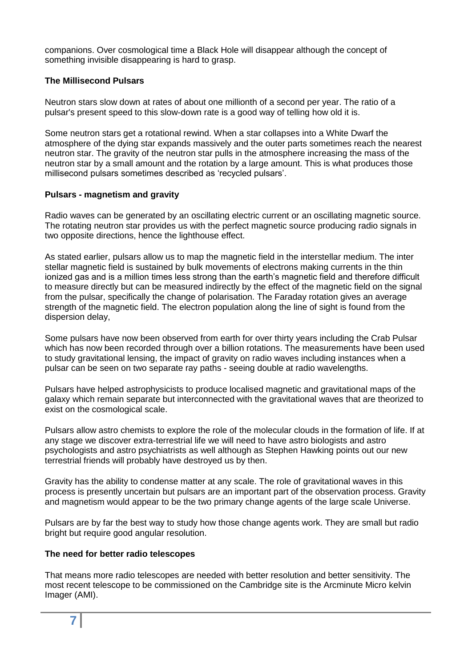companions. Over cosmological time a Black Hole will disappear although the concept of something invisible disappearing is hard to grasp.

### **The Millisecond Pulsars**

Neutron stars slow down at rates of about one millionth of a second per year. The ratio of a pulsar's present speed to this slow-down rate is a good way of telling how old it is.

Some neutron stars get a rotational rewind. When a star collapses into a White Dwarf the atmosphere of the dying star expands massively and the outer parts sometimes reach the nearest neutron star. The gravity of the neutron star pulls in the atmosphere increasing the mass of the neutron star by a small amount and the rotation by a large amount. This is what produces those millisecond pulsars sometimes described as 'recycled pulsars'.

#### **Pulsars - magnetism and gravity**

Radio waves can be generated by an oscillating electric current or an oscillating magnetic source. The rotating neutron star provides us with the perfect magnetic source producing radio signals in two opposite directions, hence the lighthouse effect.

As stated earlier, pulsars allow us to map the magnetic field in the interstellar medium. The inter stellar magnetic field is sustained by bulk movements of electrons making currents in the thin ionized gas and is a million times less strong than the earth's magnetic field and therefore difficult to measure directly but can be measured indirectly by the effect of the magnetic field on the signal from the pulsar, specifically the change of polarisation. The Faraday rotation gives an average strength of the magnetic field. The electron population along the line of sight is found from the dispersion delay,

Some pulsars have now been observed from earth for over thirty years including the Crab Pulsar which has now been recorded through over a billion rotations. The measurements have been used to study gravitational lensing, the impact of gravity on radio waves including instances when a pulsar can be seen on two separate ray paths - seeing double at radio wavelengths.

Pulsars have helped astrophysicists to produce localised magnetic and gravitational maps of the galaxy which remain separate but interconnected with the gravitational waves that are theorized to exist on the cosmological scale.

Pulsars allow astro chemists to explore the role of the molecular clouds in the formation of life. If at any stage we discover extra-terrestrial life we will need to have astro biologists and astro psychologists and astro psychiatrists as well although as Stephen Hawking points out our new terrestrial friends will probably have destroyed us by then.

Gravity has the ability to condense matter at any scale. The role of gravitational waves in this process is presently uncertain but pulsars are an important part of the observation process. Gravity and magnetism would appear to be the two primary change agents of the large scale Universe.

Pulsars are by far the best way to study how those change agents work. They are small but radio bright but require good angular resolution.

# **The need for better radio telescopes**

That means more radio telescopes are needed with better resolution and better sensitivity. The most recent telescope to be commissioned on the Cambridge site is the Arcminute Micro kelvin Imager (AMI).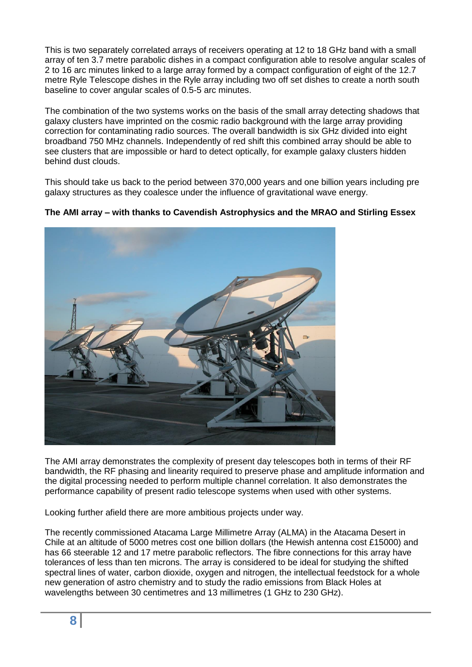This is two separately correlated arrays of receivers operating at 12 to 18 GHz band with a small array of ten 3.7 metre parabolic dishes in a compact configuration able to resolve angular scales of 2 to 16 arc minutes linked to a large array formed by a compact configuration of eight of the 12.7 metre Ryle Telescope dishes in the Ryle array including two off set dishes to create a north south baseline to cover angular scales of 0.5-5 arc minutes.

The combination of the two systems works on the basis of the small array detecting shadows that galaxy clusters have imprinted on the cosmic radio background with the large array providing correction for contaminating radio sources. The overall bandwidth is six GHz divided into eight broadband 750 MHz channels. Independently of red shift this combined array should be able to see clusters that are impossible or hard to detect optically, for example galaxy clusters hidden behind dust clouds.

This should take us back to the period between 370,000 years and one billion years including pre galaxy structures as they coalesce under the influence of gravitational wave energy.



**The AMI array – with thanks to Cavendish Astrophysics and the MRAO and Stirling Essex**

The AMI array demonstrates the complexity of present day telescopes both in terms of their RF bandwidth, the RF phasing and linearity required to preserve phase and amplitude information and the digital processing needed to perform multiple channel correlation. It also demonstrates the performance capability of present radio telescope systems when used with other systems.

Looking further afield there are more ambitious projects under way.

The recently commissioned Atacama Large Millimetre Array (ALMA) in the Atacama Desert in Chile at an altitude of 5000 metres cost one billion dollars (the Hewish antenna cost £15000) and has 66 steerable 12 and 17 metre parabolic reflectors. The fibre connections for this array have tolerances of less than ten microns. The array is considered to be ideal for studying the shifted spectral lines of water, carbon dioxide, oxygen and nitrogen, the intellectual feedstock for a whole new generation of astro chemistry and to study the radio emissions from Black Holes at wavelengths between 30 centimetres and 13 millimetres (1 GHz to 230 GHz).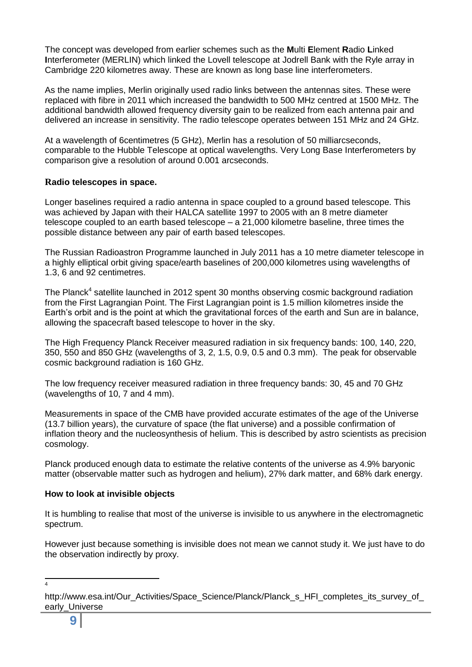The concept was developed from earlier schemes such as the **M**ulti **E**lement **R**adio **L**inked **I**nterferometer (MERLIN) which linked the Lovell telescope at Jodrell Bank with the Ryle array in Cambridge 220 kilometres away. These are known as long base line interferometers.

As the name implies, Merlin originally used radio links between the antennas sites. These were replaced with fibre in 2011 which increased the bandwidth to 500 MHz centred at 1500 MHz. The additional bandwidth allowed frequency diversity gain to be realized from each antenna pair and delivered an increase in sensitivity. The radio telescope operates between 151 MHz and 24 GHz.

At a wavelength of 6centimetres (5 GHz), Merlin has a resolution of 50 milliarcseconds, comparable to the Hubble Telescope at optical wavelengths. Very Long Base Interferometers by comparison give a resolution of around 0.001 arcseconds.

# **Radio telescopes in space.**

Longer baselines required a radio antenna in space coupled to a ground based telescope. This was achieved by Japan with their HALCA satellite 1997 to 2005 with an 8 metre diameter telescope coupled to an earth based telescope – a 21,000 kilometre baseline, three times the possible distance between any pair of earth based telescopes.

The Russian Radioastron Programme launched in July 2011 has a 10 metre diameter telescope in a highly elliptical orbit giving space/earth baselines of 200,000 kilometres using wavelengths of 1.3, 6 and 92 centimetres.

The Planck<sup>4</sup> satellite launched in 2012 spent 30 months observing cosmic background radiation from the First Lagrangian Point. The First Lagrangian point is 1.5 million kilometres inside the Earth's orbit and is the point at which the gravitational forces of the earth and Sun are in balance, allowing the spacecraft based telescope to hover in the sky.

The High Frequency Planck Receiver measured radiation in six frequency bands: 100, 140, 220, 350, 550 and 850 GHz (wavelengths of 3, 2, 1.5, 0.9, 0.5 and 0.3 mm). The peak for observable cosmic background radiation is 160 GHz.

The low frequency receiver measured radiation in three frequency bands: 30, 45 and 70 GHz (wavelengths of 10, 7 and 4 mm).

Measurements in space of the CMB have provided accurate estimates of the age of the Universe (13.7 billion years), the curvature of space (the flat universe) and a possible confirmation of inflation theory and the nucleosynthesis of helium. This is described by astro scientists as precision cosmology.

Planck produced enough data to estimate the relative contents of the universe as 4.9% baryonic matter (observable matter such as hydrogen and helium), 27% dark matter, and 68% dark energy.

# **How to look at invisible objects**

It is humbling to realise that most of the universe is invisible to us anywhere in the electromagnetic spectrum.

However just because something is invisible does not mean we cannot study it. We just have to do the observation indirectly by proxy.

 $\frac{1}{4}$ 

http://www.esa.int/Our\_Activities/Space\_Science/Planck/Planck\_s\_HFI\_completes\_its\_survey\_of early\_Universe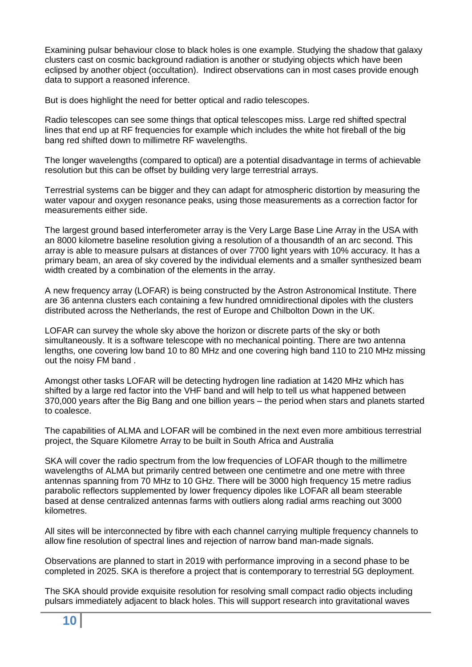Examining pulsar behaviour close to black holes is one example. Studying the shadow that galaxy clusters cast on cosmic background radiation is another or studying objects which have been eclipsed by another object (occultation). Indirect observations can in most cases provide enough data to support a reasoned inference.

But is does highlight the need for better optical and radio telescopes.

Radio telescopes can see some things that optical telescopes miss. Large red shifted spectral lines that end up at RF frequencies for example which includes the white hot fireball of the big bang red shifted down to millimetre RF wavelengths.

The longer wavelengths (compared to optical) are a potential disadvantage in terms of achievable resolution but this can be offset by building very large terrestrial arrays.

Terrestrial systems can be bigger and they can adapt for atmospheric distortion by measuring the water vapour and oxygen resonance peaks, using those measurements as a correction factor for measurements either side.

The largest ground based interferometer array is the Very Large Base Line Array in the USA with an 8000 kilometre baseline resolution giving a resolution of a thousandth of an arc second. This array is able to measure pulsars at distances of over 7700 light years with 10% accuracy. It has a primary beam, an area of sky covered by the individual elements and a smaller synthesized beam width created by a combination of the elements in the array.

A new frequency array (LOFAR) is being constructed by the Astron Astronomical Institute. There are 36 antenna clusters each containing a few hundred omnidirectional dipoles with the clusters distributed across the Netherlands, the rest of Europe and Chilbolton Down in the UK.

LOFAR can survey the whole sky above the horizon or discrete parts of the sky or both simultaneously. It is a software telescope with no mechanical pointing. There are two antenna lengths, one covering low band 10 to 80 MHz and one covering high band 110 to 210 MHz missing out the noisy FM band .

Amongst other tasks LOFAR will be detecting hydrogen line radiation at 1420 MHz which has shifted by a large red factor into the VHF band and will help to tell us what happened between 370,000 years after the Big Bang and one billion years – the period when stars and planets started to coalesce.

The capabilities of ALMA and LOFAR will be combined in the next even more ambitious terrestrial project, the Square Kilometre Array to be built in South Africa and Australia

SKA will cover the radio spectrum from the low frequencies of LOFAR though to the millimetre wavelengths of ALMA but primarily centred between one centimetre and one metre with three antennas spanning from 70 MHz to 10 GHz. There will be 3000 high frequency 15 metre radius parabolic reflectors supplemented by lower frequency dipoles like LOFAR all beam steerable based at dense centralized antennas farms with outliers along radial arms reaching out 3000 kilometres.

All sites will be interconnected by fibre with each channel carrying multiple frequency channels to allow fine resolution of spectral lines and rejection of narrow band man-made signals.

Observations are planned to start in 2019 with performance improving in a second phase to be completed in 2025. SKA is therefore a project that is contemporary to terrestrial 5G deployment.

The SKA should provide exquisite resolution for resolving small compact radio objects including pulsars immediately adjacent to black holes. This will support research into gravitational waves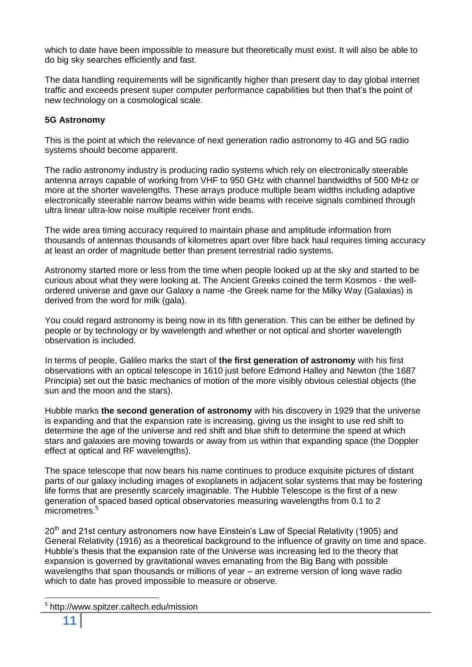which to date have been impossible to measure but theoretically must exist. It will also be able to do big sky searches efficiently and fast.

The data handling requirements will be significantly higher than present day to day global internet traffic and exceeds present super computer performance capabilities but then that's the point of new technology on a cosmological scale.

# **5G Astronomy**

This is the point at which the relevance of next generation radio astronomy to 4G and 5G radio systems should become apparent.

The radio astronomy industry is producing radio systems which rely on electronically steerable antenna arrays capable of working from VHF to 950 GHz with channel bandwidths of 500 MHz or more at the shorter wavelengths. These arrays produce multiple beam widths including adaptive electronically steerable narrow beams within wide beams with receive signals combined through ultra linear ultra-low noise multiple receiver front ends.

The wide area timing accuracy required to maintain phase and amplitude information from thousands of antennas thousands of kilometres apart over fibre back haul requires timing accuracy at least an order of magnitude better than present terrestrial radio systems.

Astronomy started more or less from the time when people looked up at the sky and started to be curious about what they were looking at. The Ancient Greeks coined the term Kosmos - the wellordered universe and gave our Galaxy a name -the Greek name for the Milky Way (Galaxias) is derived from the word for milk (gala).

You could regard astronomy is being now in its fifth generation. This can be either be defined by people or by technology or by wavelength and whether or not optical and shorter wavelength observation is included.

In terms of people, Galileo marks the start of **the first generation of astronomy** with his first observations with an optical telescope in 1610 just before Edmond Halley and Newton (the 1687 Principia) set out the basic mechanics of motion of the more visibly obvious celestial objects (the sun and the moon and the stars).

Hubble marks **the second generation of astronomy** with his discovery in 1929 that the universe is expanding and that the expansion rate is increasing, giving us the insight to use red shift to determine the age of the universe and red shift and blue shift to determine the speed at which stars and galaxies are moving towards or away from us within that expanding space (the Doppler effect at optical and RF wavelengths).

The space telescope that now bears his name continues to produce exquisite pictures of distant parts of our galaxy including images of exoplanets in adjacent solar systems that may be fostering life forms that are presently scarcely imaginable. The Hubble Telescope is the first of a new generation of spaced based optical observatories measuring wavelengths from 0.1 to 2 micrometres.<sup>5</sup>

20<sup>th</sup> and 21st century astronomers now have Einstein's Law of Special Relativity (1905) and General Relativity (1916) as a theoretical background to the influence of gravity on time and space. Hubble's thesis that the expansion rate of the Universe was increasing led to the theory that expansion is governed by gravitational waves emanating from the Big Bang with possible wavelengths that span thousands or millions of year – an extreme version of long wave radio which to date has proved impossible to measure or observe.

5 http://www.spitzer.caltech.edu/mission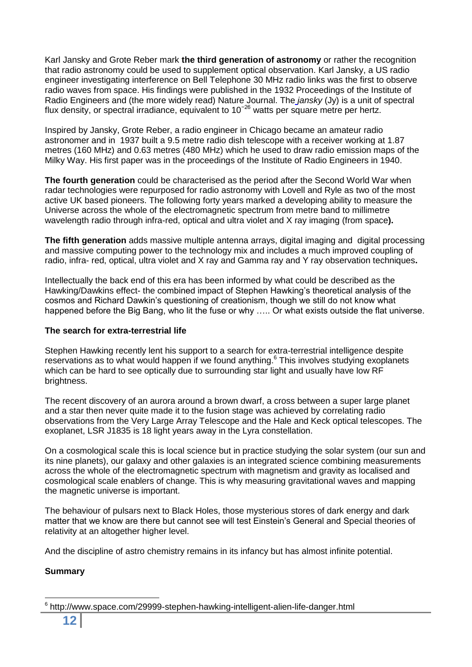Karl Jansky and Grote Reber mark **the third generation of astronomy** or rather the recognition that radio astronomy could be used to supplement optical observation. Karl Jansky, a US radio engineer investigating interference on Bell Telephone 30 MHz radio links was the first to observe radio waves from space. His findings were published in the 1932 Proceedings of the Institute of Radio Engineers and (the more widely read) Nature Journal. The *jansky* (Jy) is a unit of spectral flux density, or spectral irradiance, equivalent to 10−26 watts per square metre per hertz.

Inspired by Jansky, Grote Reber, a radio engineer in Chicago became an amateur radio astronomer and in 1937 built a 9.5 metre radio dish telescope with a receiver working at 1.87 metres (160 MHz) and 0.63 metres (480 MHz) which he used to draw radio emission maps of the Milky Way. His first paper was in the proceedings of the Institute of Radio Engineers in 1940.

**The fourth generation** could be characterised as the period after the Second World War when radar technologies were repurposed for radio astronomy with Lovell and Ryle as two of the most active UK based pioneers. The following forty years marked a developing ability to measure the Universe across the whole of the electromagnetic spectrum from metre band to millimetre wavelength radio through infra-red, optical and ultra violet and X ray imaging (from space**).**

**The fifth generation** adds massive multiple antenna arrays, digital imaging and digital processing and massive computing power to the technology mix and includes a much improved coupling of radio, infra- red, optical, ultra violet and X ray and Gamma ray and Y ray observation techniques**.**

Intellectually the back end of this era has been informed by what could be described as the Hawking/Dawkins effect- the combined impact of Stephen Hawking's theoretical analysis of the cosmos and Richard Dawkin's questioning of creationism, though we still do not know what happened before the Big Bang, who lit the fuse or why ….. Or what exists outside the flat universe.

# **The search for extra-terrestrial life**

Stephen Hawking recently lent his support to a search for extra-terrestrial intelligence despite reservations as to what would happen if we found anything. $6$  This involves studying exoplanets which can be hard to see optically due to surrounding star light and usually have low RF brightness.

The recent discovery of an aurora around a brown dwarf, a cross between a super large planet and a star then never quite made it to the fusion stage was achieved by correlating radio observations from the Very Large Array Telescope and the Hale and Keck optical telescopes. The exoplanet, LSR J1835 is 18 light years away in the Lyra constellation.

On a cosmological scale this is local science but in practice studying the solar system (our sun and its nine planets), our galaxy and other galaxies is an integrated science combining measurements across the whole of the electromagnetic spectrum with magnetism and gravity as localised and cosmological scale enablers of change. This is why measuring gravitational waves and mapping the magnetic universe is important.

The behaviour of pulsars next to Black Holes, those mysterious stores of dark energy and dark matter that we know are there but cannot see will test Einstein's General and Special theories of relativity at an altogether higher level.

And the discipline of astro chemistry remains in its infancy but has almost infinite potential.

# **Summary**

<sup>6</sup> http://www.space.com/29999-stephen-hawking-intelligent-alien-life-danger.html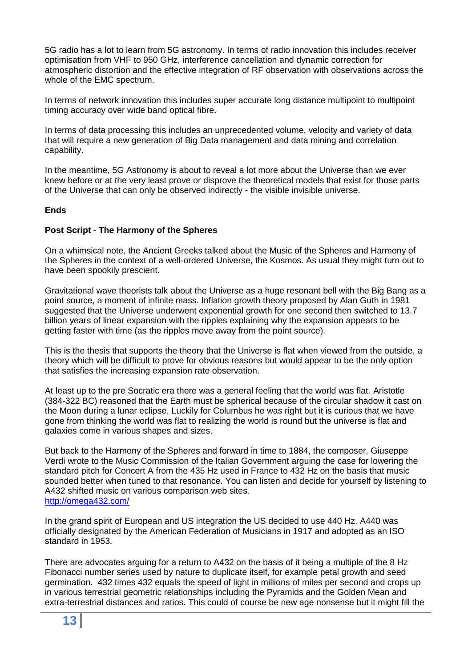5G radio has a lot to learn from 5G astronomy. In terms of radio innovation this includes receiver optimisation from VHF to 950 GHz, interference cancellation and dynamic correction for atmospheric distortion and the effective integration of RF observation with observations across the whole of the EMC spectrum.

In terms of network innovation this includes super accurate long distance multipoint to multipoint timing accuracy over wide band optical fibre.

In terms of data processing this includes an unprecedented volume, velocity and variety of data that will require a new generation of Big Data management and data mining and correlation capability.

In the meantime, 5G Astronomy is about to reveal a lot more about the Universe than we ever knew before or at the very least prove or disprove the theoretical models that exist for those parts of the Universe that can only be observed indirectly - the visible invisible universe.

# **Ends**

# **Post Script - The Harmony of the Spheres**

On a whimsical note, the Ancient Greeks talked about the Music of the Spheres and Harmony of the Spheres in the context of a well-ordered Universe, the Kosmos. As usual they might turn out to have been spookily prescient.

Gravitational wave theorists talk about the Universe as a huge resonant bell with the Big Bang as a point source, a moment of infinite mass. Inflation growth theory proposed by Alan Guth in 1981 suggested that the Universe underwent exponential growth for one second then switched to 13.7 billion years of linear expansion with the ripples explaining why the expansion appears to be getting faster with time (as the ripples move away from the point source).

This is the thesis that supports the theory that the Universe is flat when viewed from the outside, a theory which will be difficult to prove for obvious reasons but would appear to be the only option that satisfies the increasing expansion rate observation.

At least up to the pre Socratic era there was a general feeling that the world was flat. Aristotle (384-322 BC) reasoned that the Earth must be spherical because of the circular shadow it cast on the Moon during a lunar eclipse. Luckily for Columbus he was right but it is curious that we have gone from thinking the world was flat to realizing the world is round but the universe is flat and galaxies come in various shapes and sizes.

But back to the Harmony of the Spheres and forward in time to 1884, the composer, Giuseppe Verdi wrote to the Music Commission of the Italian Government arguing the case for lowering the standard pitch for Concert A from the 435 Hz used in France to 432 Hz on the basis that music sounded better when tuned to that resonance. You can listen and decide for yourself by listening to A432 shifted music on various comparison web sites. <http://omega432.com/>

In the grand spirit of European and US integration the US decided to use 440 Hz. A440 was officially designated by the American Federation of Musicians in 1917 and adopted as an ISO standard in 1953.

There are advocates arguing for a return to A432 on the basis of it being a multiple of the 8 Hz Fibonacci number series used by nature to duplicate itself, for example petal growth and seed germination. 432 times 432 equals the speed of light in millions of miles per second and crops up in various terrestrial geometric relationships including the Pyramids and the Golden Mean and extra-terrestrial distances and ratios. This could of course be new age nonsense but it might fill the